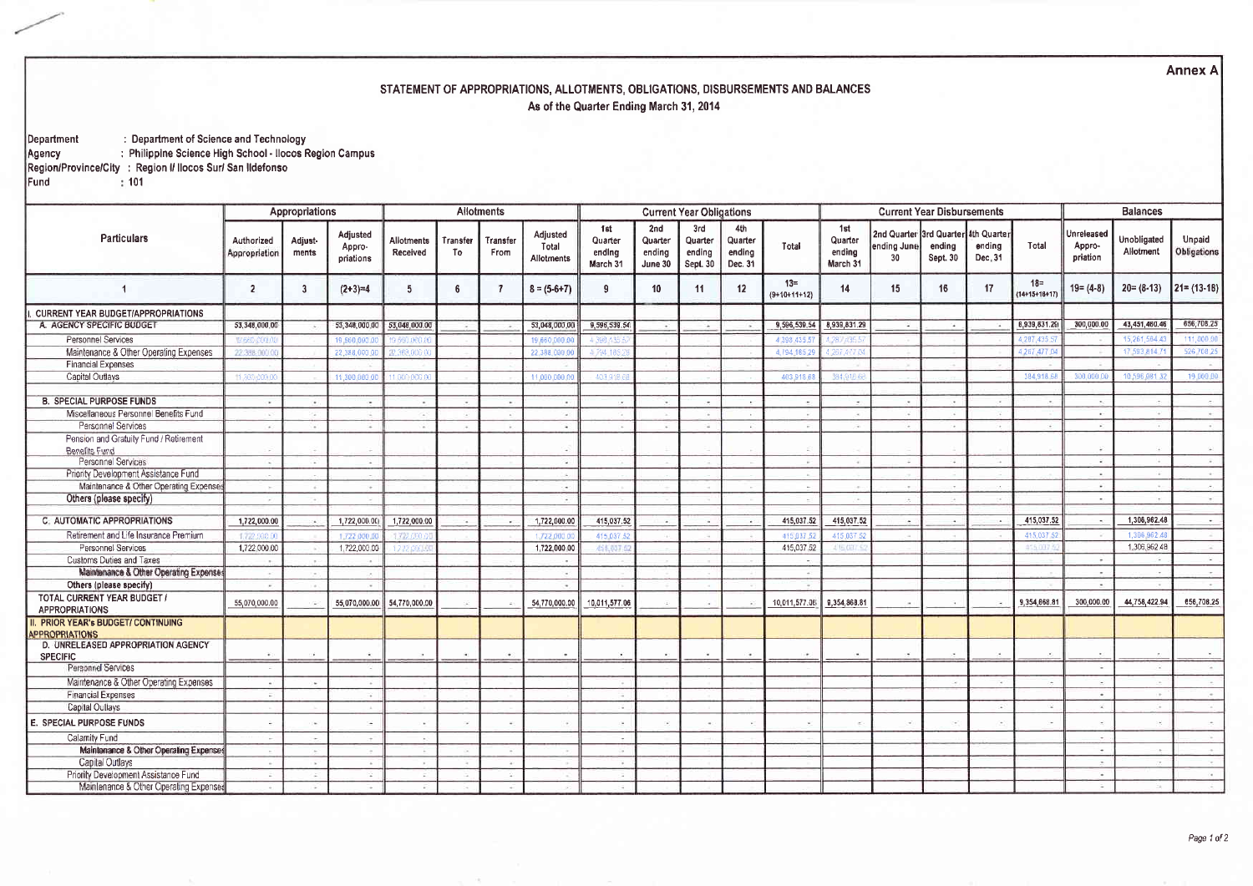**Annex A** 

## STATEMENT OF APPROPRIATIONS, ALLOTMENTS, OBLIGATIONS, DISBURSEMENTS AND BALANCES As of the Quarter Ending March 31, 2014

. Department of Science and Technology<br>Philippine Science High School - Ilocos Region Campus<br>Region/Province/City : Region I/ Ilocos Sur/ San Ildefonso<br>Fund : 101

|                                                          | Appropriations              |                  |                                 | <b>Allotments</b>             |                          |                  |                                 |                                      |                                     | <b>Current Year Obligations</b>      |                                     |                          |                                      |                                                          | <b>Current Year Disbursements</b> | <b>Balances</b>   |                                 |                                  |                          |                       |
|----------------------------------------------------------|-----------------------------|------------------|---------------------------------|-------------------------------|--------------------------|------------------|---------------------------------|--------------------------------------|-------------------------------------|--------------------------------------|-------------------------------------|--------------------------|--------------------------------------|----------------------------------------------------------|-----------------------------------|-------------------|---------------------------------|----------------------------------|--------------------------|-----------------------|
| <b>Particulars</b>                                       | Authorized<br>Appropriation | Adjust-<br>ments | Adjusted<br>Appro-<br>priations | <b>Allotments</b><br>Received | Transfer<br>To           | Transfer<br>From | Adjusted<br>Total<br>Allotments | 1st<br>Quarter<br>ending<br>March 31 | 2nd<br>Quarter<br>ending<br>June 30 | 3rd<br>Quarter<br>ending<br>Sept. 30 | 4th<br>Quarter<br>ending<br>Dec. 31 | Total                    | 1st<br>Quarter<br>ending<br>March 31 | 2nd Quarter 3rd Quarter 4th Quarter<br>ending June<br>30 | ending<br>Sept. 30                | ending<br>Dec. 31 | Total                           | Unreleased<br>Appro-<br>priation | Unobligated<br>Allotment | Unpaid<br>Obligations |
|                                                          | $\overline{2}$              | 3                | $(2+3)=4$                       | 5                             | 6                        | - 7              | $8 = (5-6+7)$                   | 9                                    | 10 <sup>°</sup>                     | 11                                   | 12                                  | $13 =$<br>$(9+10+11+12)$ | 14                                   | 15                                                       | 16                                | 17                | $18 =$<br>$(14 + 15 + 18 + 17)$ | $19 = (4-8)$                     | $20 = (8-13)$            | $21 = (13-18)$        |
| <b>CURRENT YEAR BUDGET/APPROPRIATIONS</b>                |                             |                  |                                 |                               |                          |                  |                                 |                                      |                                     |                                      |                                     |                          |                                      |                                                          |                                   |                   |                                 |                                  |                          |                       |
| A. AGENCY SPECIFIC BUDGET                                | 53,348,000.00               |                  | 53,348,000.00                   | 53,048,000.00                 | $\overline{\phantom{a}}$ |                  | 53,048,000.00                   | 9,596,539.54                         |                                     | - 4                                  |                                     | 9,596,539.54             | 8,939,831.29                         | ×.                                                       | 14                                |                   | 6,939,831.29                    | 300,000.00                       | 43,451,460.40            | 656,708.25            |
| Personnel Services                                       | 19,660,000                  |                  | 19 660 000                      | 9.660.000                     |                          |                  | 19 660 000 0                    |                                      |                                     |                                      |                                     | 4 398 435                |                                      |                                                          |                                   |                   | 4.287.435                       |                                  | 15,261,564               | 111,000.00            |
| Maintenance & Other Operating Expenses                   | 22.388.000                  |                  | 22.388,000.0                    | 12.388.000                    |                          |                  | 22.388.000.00                   | 4.794.185                            |                                     |                                      |                                     | 4,794,185                | 267,477)                             |                                                          |                                   |                   | 4,267,477.0                     |                                  | 17 593 814               | 526 708 25            |
| <b>Financial Expenses</b>                                |                             |                  |                                 |                               |                          |                  |                                 |                                      |                                     |                                      |                                     |                          |                                      |                                                          |                                   |                   |                                 |                                  |                          |                       |
| Capital Outlays                                          | 1.300,000.0                 |                  | 11,300,000 0                    | 1.000.000                     |                          |                  | 11,000,000.0                    | 403.918                              |                                     |                                      |                                     | 403,918.6                | 384.918                              |                                                          |                                   |                   | 384,918.68                      | 300,000.0                        | 10 596 081               | 19 000 00             |
|                                                          |                             |                  |                                 |                               |                          |                  |                                 |                                      |                                     |                                      |                                     |                          |                                      |                                                          |                                   |                   |                                 |                                  |                          |                       |
| <b>B. SPECIAL PURPOSE FUNDS</b>                          |                             |                  | ò.                              |                               |                          | $\sim$           |                                 |                                      |                                     |                                      |                                     |                          |                                      |                                                          |                                   |                   |                                 | $\ddot{\phantom{1}}$             |                          | $\sim$                |
| Miscellaneous Personnel Benefits Fund                    |                             |                  |                                 | <b>Call</b>                   | $\sim$                   | <b>A</b>         | - 1                             |                                      |                                     |                                      |                                     |                          |                                      |                                                          |                                   |                   |                                 | $\mathbf{r}$                     |                          | $\sim$                |
| Personnel Services                                       |                             |                  |                                 |                               |                          |                  | $\overline{\phantom{a}}$        |                                      |                                     |                                      |                                     |                          |                                      |                                                          |                                   |                   |                                 |                                  |                          | $\sim$                |
| Pension and Gratuity Fund / Retirement                   |                             |                  |                                 |                               |                          |                  |                                 |                                      |                                     |                                      |                                     |                          |                                      |                                                          |                                   |                   |                                 |                                  |                          | 23                    |
| Benefits Fund<br>Personnel Services                      |                             |                  | $\sim$                          |                               |                          |                  | 14                              |                                      |                                     |                                      |                                     |                          |                                      |                                                          | ×                                 |                   |                                 | ÷                                |                          | $\overline{a}$        |
| Priority Development Assistance Fund                     |                             |                  |                                 |                               |                          |                  | Ъü.                             |                                      |                                     |                                      |                                     |                          |                                      |                                                          |                                   |                   |                                 |                                  |                          | the con-              |
| Maintenance & Other Operating Expenser                   |                             |                  | $\sim$                          |                               |                          |                  | -                               |                                      |                                     |                                      |                                     |                          |                                      |                                                          | $\sim$                            |                   |                                 | $\sim$                           |                          | $\overline{a}$        |
| Others (please specify)                                  |                             |                  |                                 |                               |                          |                  | $\overline{\phantom{a}}$        |                                      |                                     |                                      |                                     |                          |                                      |                                                          |                                   |                   |                                 | $\overline{\phantom{a}}$         |                          | $\sim$                |
|                                                          |                             |                  |                                 |                               |                          |                  |                                 |                                      |                                     |                                      |                                     |                          |                                      |                                                          |                                   |                   |                                 |                                  |                          |                       |
| <b>C. AUTOMATIC APPROPRIATIONS</b>                       | 1,722,000.00                |                  | 1,722,000.00                    | 1,722,000.00                  |                          |                  | 1,722,000.00                    | 415,037.52                           |                                     |                                      |                                     | 415,037.52               | 415,037.52                           |                                                          |                                   |                   | 415,037.52                      |                                  | 1,306,962.48             | $\sim$                |
| Retirement and Life Insurance Premium                    | 1.722000                    |                  | 1,722,000.                      | 722.000                       |                          |                  | 1.722.000                       | 415.037                              |                                     |                                      |                                     | 415.037                  | 415.037                              |                                                          |                                   |                   | 415,037                         |                                  | 1.306.962                |                       |
| Personnel Services                                       | 1,722,000.00                |                  | 1,722,000.00                    | 722.000.                      |                          |                  | 1,722,000.00                    | 455,037                              |                                     |                                      |                                     | 415,037.52               | 415 03                               |                                                          |                                   |                   | 455.000                         |                                  | 1,306,962.48             |                       |
| Customs Duties and Taxes                                 |                             |                  |                                 |                               |                          |                  |                                 |                                      |                                     |                                      |                                     |                          |                                      |                                                          |                                   |                   |                                 |                                  |                          | Call 1                |
| Maintenance & Other Operating Expenses                   |                             |                  | $\rightarrow$                   |                               |                          |                  | $\sim$                          |                                      |                                     |                                      |                                     |                          |                                      |                                                          |                                   |                   |                                 | - 1                              |                          | $\sim$                |
| Others (please specify)                                  |                             |                  | $\sim$                          |                               |                          |                  |                                 |                                      |                                     |                                      |                                     |                          |                                      |                                                          |                                   |                   |                                 | 14                               |                          | $\rightarrow$         |
| TOTAL CURRENT YEAR BUDGET /<br><b>APPROPRIATIONS</b>     | 55,070,000.00               |                  |                                 | 55,070,000.00 54,770,000.00   | ×                        |                  | 54,770,000.00                   | 10,011,577.06                        |                                     |                                      |                                     | 10,011,577.06            | 9,354,868.81                         |                                                          |                                   |                   | 9,354,668.81                    | 300,000.00                       | 44,758,422.94            | 656,708.25            |
| PRIOR YEAR's BUDGET/ CONTINUING<br><b>APPROPRIATIONS</b> |                             |                  |                                 |                               |                          |                  |                                 |                                      |                                     |                                      |                                     |                          |                                      |                                                          |                                   |                   |                                 |                                  |                          |                       |
| D. UNRELEASED APPROPRIATION AGENCY<br><b>SPECIFIC</b>    | $\bullet$                   |                  | G.                              |                               | œ.                       | œ.               |                                 |                                      |                                     | $\cdot$                              | ×.                                  | $\ddot{}$                | $\sim$                               | CH.                                                      |                                   | ٠                 | $\sim$                          | $\ddot{\phantom{1}}$             |                          | ×.                    |
| Personnel Services                                       |                             |                  |                                 |                               |                          |                  |                                 |                                      |                                     |                                      |                                     |                          |                                      |                                                          |                                   |                   |                                 | ÷.                               |                          | $\sim$                |
| Maintenance & Other Operating Expenses                   | $\sim$                      | $\sim$           | T.A.                            |                               |                          |                  |                                 |                                      |                                     |                                      |                                     |                          |                                      |                                                          | $\epsilon$                        |                   |                                 | $\sim$                           |                          | $-4$                  |
| <b>Financial Expenses</b>                                |                             |                  |                                 |                               |                          |                  |                                 |                                      |                                     |                                      |                                     |                          |                                      |                                                          |                                   |                   |                                 |                                  |                          | $-$                   |
| Capital Oullays                                          |                             |                  |                                 |                               |                          |                  |                                 | 14                                   |                                     |                                      |                                     |                          |                                      |                                                          |                                   |                   |                                 | in 1                             |                          |                       |
| E. SPECIAL PURPOSE FUNDS                                 |                             |                  | œ.                              |                               |                          |                  |                                 |                                      |                                     |                                      |                                     |                          |                                      |                                                          | $\sim$                            |                   |                                 |                                  |                          | $\sim 10^{-1}$        |
| Calamity Fund                                            |                             |                  |                                 |                               |                          |                  |                                 | <b>1999</b>                          |                                     |                                      |                                     |                          |                                      |                                                          |                                   |                   |                                 | $\sim$                           |                          |                       |
| Maintenance & Other Operating Expense                    |                             |                  |                                 |                               |                          |                  |                                 |                                      |                                     |                                      |                                     |                          |                                      |                                                          |                                   |                   |                                 |                                  |                          |                       |
| Capital Outlays                                          |                             |                  |                                 |                               |                          | $\sim$           |                                 | Te .                                 |                                     |                                      |                                     |                          |                                      |                                                          |                                   |                   |                                 | $\overline{a}$                   |                          | Tel.                  |
| Priority Development Assistance Fund                     |                             |                  |                                 |                               |                          |                  |                                 |                                      |                                     |                                      |                                     |                          |                                      |                                                          |                                   |                   |                                 | o.                               |                          | Call 1                |
| Mainlengnee & Other Operating Expenses                   |                             |                  |                                 |                               |                          |                  |                                 |                                      |                                     |                                      |                                     |                          |                                      |                                                          |                                   |                   |                                 |                                  |                          |                       |